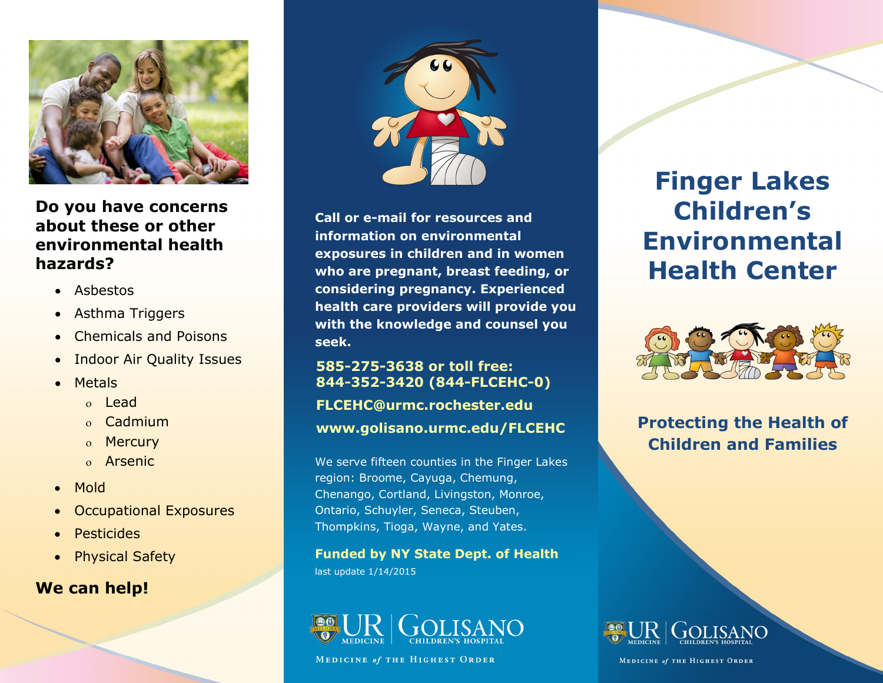

**Do you have concerns about these or other environmental health hazards?** 

- Asbestos
- Asthma Triggers
- Chemicals and Poisons
- Indoor Air Quality Issues
- Metals
	- Lead
	- <sub>o</sub> Cadmium
	- o Mercury
	- Arsenic
- Mold
- Occupational Exposures
- Pesticides
- Physical Safety

# **We can help!**



**Call or e-mail for resources and information on environmental exposures in children and in women who are pregnant, breast feeding, or considering pregnancy. Experienced health care providers will provide you with the knowledge and counsel you seek.**

### **585-275-3638 or toll free: 844-352-3420 (844-FLCEHC-0)**

### **FLCEHC@urmc.rochester.edu**

#### **www.golisano.urmc.edu/FLCEHC**

We serve fifteen counties in the Finger Lakes region: Broome, Cayuga, Chemung, Chenango, Cortland, Livingston, Monroe, Ontario, Schuyler, Seneca, Steuben, Thompkins, Tioga, Wayne, and Yates.

**Funded by NY State Dept. of Health** last update 1/14/2015



**MEDICINE of THE HIGHEST ORDER** 

# **Finger Lakes Children's Environmental Health Center**



**Protecting the Health of Children and Families**



MEDICINE of THE HIGHEST ORDER